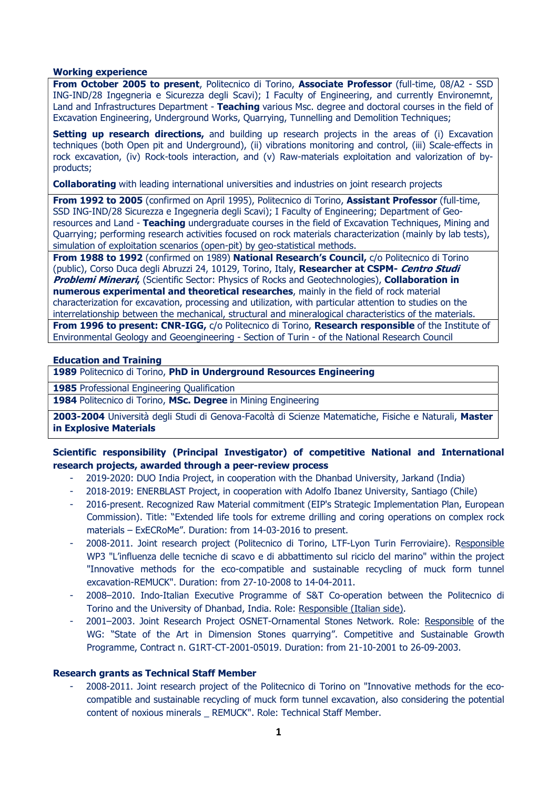#### Working experience

From October 2005 to present, Politecnico di Torino, Associate Professor (full-time, 08/A2 - SSD ING-IND/28 Ingegneria e Sicurezza degli Scavi); I Faculty of Engineering, and currently Environemnt, Land and Infrastructures Department - Teaching various Msc. degree and doctoral courses in the field of Excavation Engineering, Underground Works, Quarrying, Tunnelling and Demolition Techniques;

Setting up research directions, and building up research projects in the areas of (i) Excavation techniques (both Open pit and Underground), (ii) vibrations monitoring and control, (iii) Scale-effects in rock excavation, (iv) Rock-tools interaction, and (v) Raw-materials exploitation and valorization of byproducts;

**Collaborating** with leading international universities and industries on joint research projects

From 1992 to 2005 (confirmed on April 1995), Politecnico di Torino, Assistant Professor (full-time, SSD ING-IND/28 Sicurezza e Ingegneria degli Scavi); I Faculty of Engineering; Department of Georesources and Land - Teaching undergraduate courses in the field of Excavation Techniques, Mining and Quarrying; performing research activities focused on rock materials characterization (mainly by lab tests), simulation of exploitation scenarios (open-pit) by geo-statistical methods.

From 1988 to 1992 (confirmed on 1989) National Research's Council, c/o Politecnico di Torino (public), Corso Duca degli Abruzzi 24, 10129, Torino, Italy, Researcher at CSPM- Centro Studi **Problemi Minerari,** (Scientific Sector: Physics of Rocks and Geotechnologies), Collaboration in numerous experimental and theoretical researches, mainly in the field of rock material characterization for excavation, processing and utilization, with particular attention to studies on the interrelationship between the mechanical, structural and mineralogical characteristics of the materials. From 1996 to present: CNR-IGG, c/o Politecnico di Torino, Research responsible of the Institute of Environmental Geology and Geoengineering - Section of Turin - of the National Research Council

#### Education and Training

1989 Politecnico di Torino, PhD in Underground Resources Engineering

1985 Professional Engineering Qualification

1984 Politecnico di Torino, MSc. Degree in Mining Engineering

2003-2004 Università degli Studi di Genova-Facoltà di Scienze Matematiche, Fisiche e Naturali, Master in Explosive Materials

#### Scientific responsibility (Principal Investigator) of competitive National and International research projects, awarded through a peer-review process

- 2019-2020: DUO India Project, in cooperation with the Dhanbad University, Jarkand (India)
- 2018-2019: ENERBLAST Project, in cooperation with Adolfo Ibanez University, Santiago (Chile)
- 2016-present. Recognized Raw Material commitment (EIP's Strategic Implementation Plan, European Commission). Title: "Extended life tools for extreme drilling and coring operations on complex rock materials – ExECRoMe". Duration: from 14-03-2016 to present.
- 2008-2011. Joint research project (Politecnico di Torino, LTF-Lyon Turin Ferroviaire). Responsible WP3 "L'influenza delle tecniche di scavo e di abbattimento sul riciclo del marino" within the project "Innovative methods for the eco-compatible and sustainable recycling of muck form tunnel excavation-REMUCK". Duration: from 27-10-2008 to 14-04-2011.
- 2008–2010. Indo-Italian Executive Programme of S&T Co-operation between the Politecnico di Torino and the University of Dhanbad, India. Role: Responsible (Italian side).
- 2001–2003. Joint Research Project OSNET-Ornamental Stones Network. Role: Responsible of the WG: "State of the Art in Dimension Stones quarrying". Competitive and Sustainable Growth Programme, Contract n. G1RT-CT-2001-05019. Duration: from 21-10-2001 to 26-09-2003.

#### Research grants as Technical Staff Member

- 2008-2011. Joint research project of the Politecnico di Torino on "Innovative methods for the ecocompatible and sustainable recycling of muck form tunnel excavation, also considering the potential content of noxious minerals \_ REMUCK". Role: Technical Staff Member.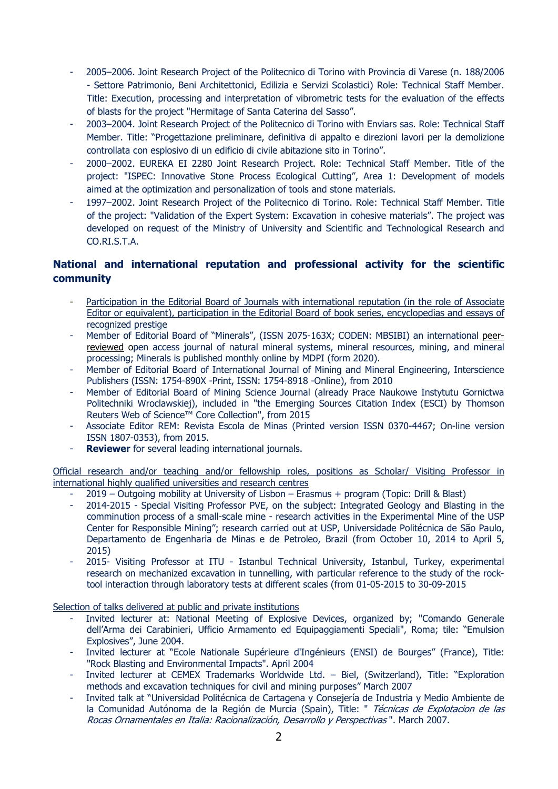- 2005–2006. Joint Research Project of the Politecnico di Torino with Provincia di Varese (n. 188/2006 - Settore Patrimonio, Beni Architettonici, Edilizia e Servizi Scolastici) Role: Technical Staff Member. Title: Execution, processing and interpretation of vibrometric tests for the evaluation of the effects of blasts for the project "Hermitage of Santa Caterina del Sasso".
- 2003–2004. Joint Research Project of the Politecnico di Torino with Enviars sas. Role: Technical Staff Member. Title: "Progettazione preliminare, definitiva di appalto e direzioni lavori per la demolizione controllata con esplosivo di un edificio di civile abitazione sito in Torino".
- 2000–2002. EUREKA EI 2280 Joint Research Project. Role: Technical Staff Member. Title of the project: "ISPEC: Innovative Stone Process Ecological Cutting", Area 1: Development of models aimed at the optimization and personalization of tools and stone materials.
- 1997–2002. Joint Research Project of the Politecnico di Torino. Role: Technical Staff Member. Title of the project: "Validation of the Expert System: Excavation in cohesive materials". The project was developed on request of the Ministry of University and Scientific and Technological Research and CO.RI.S.T.A.

# National and international reputation and professional activity for the scientific community

- Participation in the Editorial Board of Journals with international reputation (in the role of Associate Editor or equivalent), participation in the Editorial Board of book series, encyclopedias and essays of recognized prestige
- Member of Editorial Board of "Minerals", (ISSN 2075-163X; CODEN: MBSIBI) an international peerreviewed open access journal of natural mineral systems, mineral resources, mining, and mineral processing; Minerals is published monthly online by MDPI (form 2020).
- Member of Editorial Board of International Journal of Mining and Mineral Engineering, Interscience Publishers (ISSN: 1754-890X -Print, ISSN: 1754-8918 -Online), from 2010
- Member of Editorial Board of Mining Science Journal (already Prace Naukowe Instytutu Gornictwa Politechniki Wroclawskiej), included in "the Emerging Sources Citation Index (ESCI) by Thomson Reuters Web of Science™ Core Collection", from 2015
- Associate Editor REM: Revista Escola de Minas (Printed version ISSN 0370-4467; On-line version ISSN 1807-0353), from 2015.
- Reviewer for several leading international journals.

Official research and/or teaching and/or fellowship roles, positions as Scholar/ Visiting Professor in international highly qualified universities and research centres

- 2019 Outgoing mobility at University of Lisbon Erasmus + program (Topic: Drill & Blast)
- 2014-2015 Special Visiting Professor PVE, on the subject: Integrated Geology and Blasting in the comminution process of a small-scale mine - research activities in the Experimental Mine of the USP Center for Responsible Mining"; research carried out at USP, Universidade Politécnica de São Paulo, Departamento de Engenharia de Minas e de Petroleo, Brazil (from October 10, 2014 to April 5, 2015)
- 2015- Visiting Professor at ITU Istanbul Technical University, Istanbul, Turkey, experimental research on mechanized excavation in tunnelling, with particular reference to the study of the rocktool interaction through laboratory tests at different scales (from 01-05-2015 to 30-09-2015

Selection of talks delivered at public and private institutions

- Invited lecturer at: National Meeting of Explosive Devices, organized by; "Comando Generale dell'Arma dei Carabinieri, Ufficio Armamento ed Equipaggiamenti Speciali", Roma; tile: "Emulsion Explosives", June 2004.
- Invited lecturer at "Ecole Nationale Supérieure d'Ingénieurs (ENSI) de Bourges" (France), Title: "Rock Blasting and Environmental Impacts". April 2004
- Invited lecturer at CEMEX Trademarks Worldwide Ltd. Biel, (Switzerland), Title: "Exploration methods and excavation techniques for civil and mining purposes" March 2007
- Invited talk at "Universidad Politécnica de Cartagena y Consejería de Industria y Medio Ambiente de la Comunidad Autónoma de la Región de Murcia (Spain), Title: " Técnicas de Explotacion de las Rocas Ornamentales en Italia: Racionalización, Desarrollo y Perspectivas ". March 2007.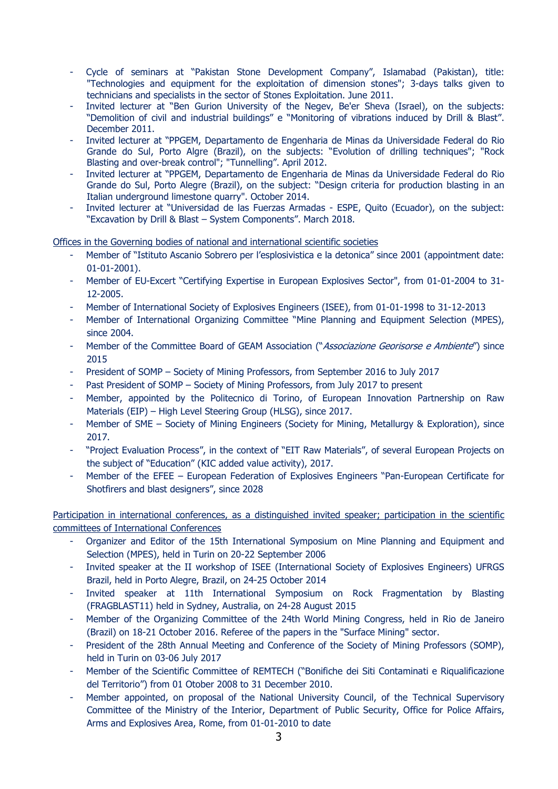- Cycle of seminars at "Pakistan Stone Development Company", Islamabad (Pakistan), title: "Technologies and equipment for the exploitation of dimension stones"; 3-days talks given to technicians and specialists in the sector of Stones Exploitation. June 2011.
- Invited lecturer at "Ben Gurion University of the Negev, Be'er Sheva (Israel), on the subjects: "Demolition of civil and industrial buildings" e "Monitoring of vibrations induced by Drill & Blast". December 2011.
- Invited lecturer at "PPGEM, Departamento de Engenharia de Minas da Universidade Federal do Rio Grande do Sul, Porto Algre (Brazil), on the subjects: "Evolution of drilling techniques"; "Rock Blasting and over-break control"; "Tunnelling". April 2012.
- Invited lecturer at "PPGEM, Departamento de Engenharia de Minas da Universidade Federal do Rio Grande do Sul, Porto Alegre (Brazil), on the subject: "Design criteria for production blasting in an Italian underground limestone quarry". October 2014.
- Invited lecturer at "Universidad de las Fuerzas Armadas ESPE, Quito (Ecuador), on the subject: "Excavation by Drill & Blast – System Components". March 2018.

Offices in the Governing bodies of national and international scientific societies

- Member of "Istituto Ascanio Sobrero per l'esplosivistica e la detonica" since 2001 (appointment date: 01-01-2001).
- Member of EU-Excert "Certifying Expertise in European Explosives Sector", from 01-01-2004 to 31- 12-2005.
- Member of International Society of Explosives Engineers (ISEE), from 01-01-1998 to 31-12-2013
- Member of International Organizing Committee "Mine Planning and Equipment Selection (MPES), since 2004.
- Member of the Committee Board of GEAM Association ("Associazione Georisorse e Ambiente") since 2015
- President of SOMP Society of Mining Professors, from September 2016 to July 2017
- Past President of SOMP Society of Mining Professors, from July 2017 to present
- Member, appointed by the Politecnico di Torino, of European Innovation Partnership on Raw Materials (EIP) – High Level Steering Group (HLSG), since 2017.
- Member of SME Society of Mining Engineers (Society for Mining, Metallurgy & Exploration), since 2017.
- "Project Evaluation Process", in the context of "EIT Raw Materials", of several European Projects on the subject of "Education" (KIC added value activity), 2017.
- Member of the EFEE European Federation of Explosives Engineers "Pan-European Certificate for Shotfirers and blast designers", since 2028

Participation in international conferences, as a distinguished invited speaker; participation in the scientific committees of International Conferences

- Organizer and Editor of the 15th International Symposium on Mine Planning and Equipment and Selection (MPES), held in Turin on 20-22 September 2006
- Invited speaker at the II workshop of ISEE (International Society of Explosives Engineers) UFRGS Brazil, held in Porto Alegre, Brazil, on 24-25 October 2014
- Invited speaker at 11th International Symposium on Rock Fragmentation by Blasting (FRAGBLAST11) held in Sydney, Australia, on 24-28 August 2015
- Member of the Organizing Committee of the 24th World Mining Congress, held in Rio de Janeiro (Brazil) on 18-21 October 2016. Referee of the papers in the "Surface Mining" sector.
- President of the 28th Annual Meeting and Conference of the Society of Mining Professors (SOMP), held in Turin on 03-06 July 2017
- Member of the Scientific Committee of REMTECH ("Bonifiche dei Siti Contaminati e Riqualificazione del Territorio") from 01 Otober 2008 to 31 December 2010.
- Member appointed, on proposal of the National University Council, of the Technical Supervisory Committee of the Ministry of the Interior, Department of Public Security, Office for Police Affairs, Arms and Explosives Area, Rome, from 01-01-2010 to date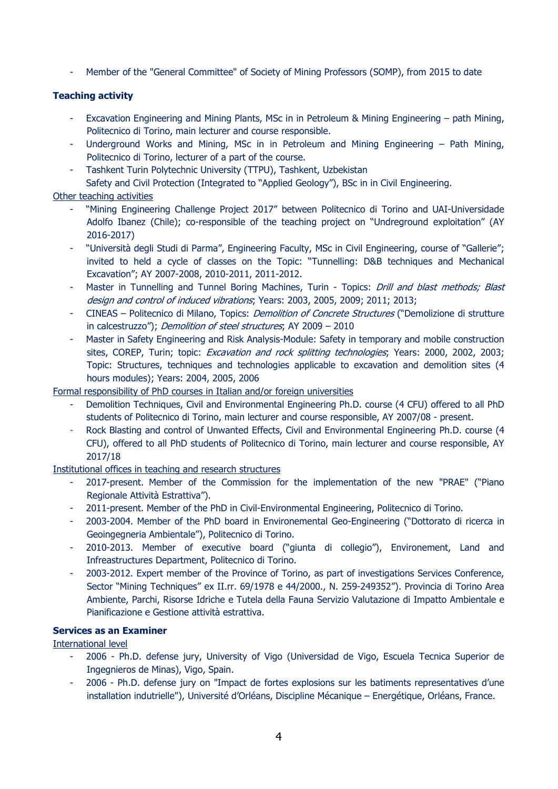Member of the "General Committee" of Society of Mining Professors (SOMP), from 2015 to date

## Teaching activity

- Excavation Engineering and Mining Plants, MSc in in Petroleum & Mining Engineering path Mining, Politecnico di Torino, main lecturer and course responsible.
- Underground Works and Mining, MSc in in Petroleum and Mining Engineering Path Mining, Politecnico di Torino, lecturer of a part of the course.
- Tashkent Turin Polytechnic University (TTPU), Tashkent, Uzbekistan

Safety and Civil Protection (Integrated to "Applied Geology"), BSc in in Civil Engineering.

## Other teaching activities

- "Mining Engineering Challenge Project 2017" between Politecnico di Torino and UAI-Universidade Adolfo Ibanez (Chile); co-responsible of the teaching project on "Undreground exploitation" (AY 2016-2017)
- "Università degli Studi di Parma", Engineering Faculty, MSc in Civil Engineering, course of "Gallerie"; invited to held a cycle of classes on the Topic: "Tunnelling: D&B techniques and Mechanical Excavation"; AY 2007-2008, 2010-2011, 2011-2012.
- Master in Tunnelling and Tunnel Boring Machines, Turin Topics: Drill and blast methods; Blast design and control of induced vibrations; Years: 2003, 2005, 2009; 2011; 2013;
- CINEAS Politecnico di Milano, Topics: *Demolition of Concrete Structures* ("Demolizione di strutture in calcestruzzo"); Demolition of steel structures; AY 2009 - 2010
- Master in Safety Engineering and Risk Analysis-Module: Safety in temporary and mobile construction sites, COREP, Turin; topic: *Excavation and rock splitting technologies*; Years: 2000, 2002, 2003; Topic: Structures, techniques and technologies applicable to excavation and demolition sites (4 hours modules); Years: 2004, 2005, 2006

## Formal responsibility of PhD courses in Italian and/or foreign universities

- Demolition Techniques, Civil and Environmental Engineering Ph.D. course (4 CFU) offered to all PhD students of Politecnico di Torino, main lecturer and course responsible, AY 2007/08 - present.
- Rock Blasting and control of Unwanted Effects, Civil and Environmental Engineering Ph.D. course (4 CFU), offered to all PhD students of Politecnico di Torino, main lecturer and course responsible, AY 2017/18

Institutional offices in teaching and research structures

- 2017-present. Member of the Commission for the implementation of the new "PRAE" ("Piano Regionale Attività Estrattiva").
- 2011-present. Member of the PhD in Civil-Environmental Engineering, Politecnico di Torino.
- 2003-2004. Member of the PhD board in Environemental Geo-Engineering ("Dottorato di ricerca in Geoingegneria Ambientale"), Politecnico di Torino.
- 2010-2013. Member of executive board ("giunta di collegio"), Environement, Land and Infreastructures Department, Politecnico di Torino.
- 2003-2012. Expert member of the Province of Torino, as part of investigations Services Conference, Sector "Mining Techniques" ex II.rr. 69/1978 e 44/2000., N. 259-249352"). Provincia di Torino Area Ambiente, Parchi, Risorse Idriche e Tutela della Fauna Servizio Valutazione di Impatto Ambientale e Pianificazione e Gestione attività estrattiva.

## Services as an Examiner

International level

- 2006 Ph.D. defense jury, University of Vigo (Universidad de Vigo, Escuela Tecnica Superior de Ingegnieros de Minas), Vigo, Spain.
- 2006 Ph.D. defense jury on "Impact de fortes explosions sur les batiments representatives d'une installation indutrielle"), Université d'Orléans, Discipline Mécanique – Energétique, Orléans, France.